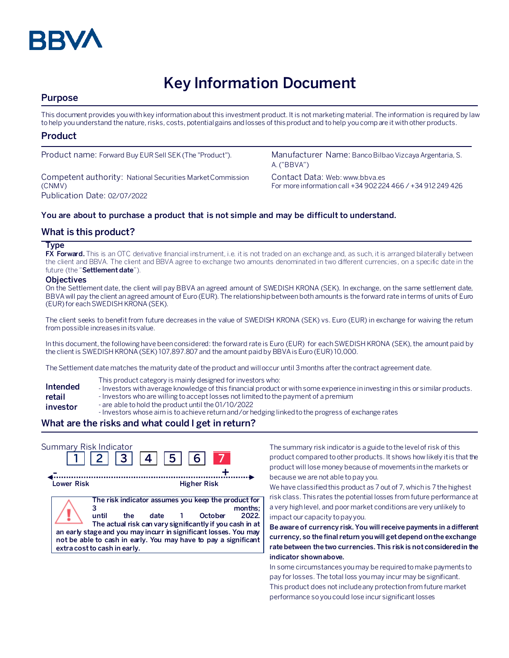

# **Key Information Document**

# **Purpose**

This document provides you with key information about this investment product. It is not marketing material. The information is required by law to help you understand the nature, risks, costs, potential gains and losses of this product and to help you compare it with other products.

## **Product**

Competent authority: National Securities Market Commission (CNMV) Publication Date: 02/07/2022

Product name: Forward Buy EUR Sell SEK (The "Product"). Manufacturer Name: Banco Bilbao Vizcaya Argentaria, S. A. ("BBVA")

> Contact Data: Web: www.bbva.es For more information call +34 902 224 466 / +34 912 249 426

## **You are about to purchase a product that is not simple and may be difficult to understand.**

## **What is this product?**

#### **Type**

**FX Forward.** This is an OTC derivative financial instrument, i.e. it is not traded on an exchange and, as such, it is arranged bilaterally between the client and BBVA. The client and BBVA agree to exchange two amounts denominated in two different currencies, on a specific date in the future (the "**Settlement date**").

#### **Objectives**

On the Settlement date, the client will pay BBVA an agreed amount of SWEDISH KRONA (SEK). In exchange, on the same settlement date, BBVA will pay the client an agreed amount of Euro (EUR). The relationship between both amounts is the forward rate in terms of units of Euro (EUR)for each SWEDISH KRONA(SEK).

The client seeks to benefit from future decreases in the value of SWEDISH KRONA (SEK) vs. Euro (EUR) in exchange for waiving the return from possible increases in its value.

In this document, the following have been considered: the forward rate is Euro (EUR) for eachSWEDISH KRONA (SEK), the amount paid by the client is SWEDISH KRONA(SEK) 107,897.807 and the amount paidby BBVA isEuro (EUR) 10,000.

The Settlement date matches the maturity date of the product and will occur until 3 months after the contract agreement date.

- This product category is mainly designed for investors who:
- **Intended**  - Investors with average knowledge of this financial product or with some experience in investing in this or similar products.
- **retail**  - Investors who are willing to accept losses not limited to the payment of a premium
- **investor** - are able to hold the product until the 01/10/2022
	- Investors whose aim is to achieve return and/or hedging linked to the progress of exchange rates

# **What are the risks and what could I get in return?**

| Summary Risk Indicator |                                              | 2  3  4  5  6 |                         |                                                                                                                                                                                                                                                                            |
|------------------------|----------------------------------------------|---------------|-------------------------|----------------------------------------------------------------------------------------------------------------------------------------------------------------------------------------------------------------------------------------------------------------------------|
| Lower Risk             |                                              |               | <b>Higher Risk</b>      |                                                                                                                                                                                                                                                                            |
|                        | until<br>the<br>extra cost to cash in early. | date          | October<br>$\mathbf{1}$ | The risk indicator assumes you keep the product for<br>months:<br>2022.<br>The actual risk can vary significantly if you cash in at<br>an early stage and you may incurr in significant losses. You may<br>not be able to cash in early. You may have to pay a significant |

The summary risk indicator is a guide to the level of risk of this product compared to other products. It shows how likely it is that the product will lose money because of movements in the markets or because we are not able to pay you.

We have classified this product as 7 out of 7, which is 7 the highest risk class. This rates the potential losses from future performance at a very high level, and poor market conditions are very unlikely to impact our capacity to pay you.

**Be aware of currency risk. You will receive payments in a different currency, so the final return you will get depend on the exchange rate between the two currencies. This risk is not considered in the indicator shown above.**

In some circumstances you may be required to make payments to pay for losses. The total loss you may incur may be significant. This product does not include any protection from future market performance so you could lose incur significant losses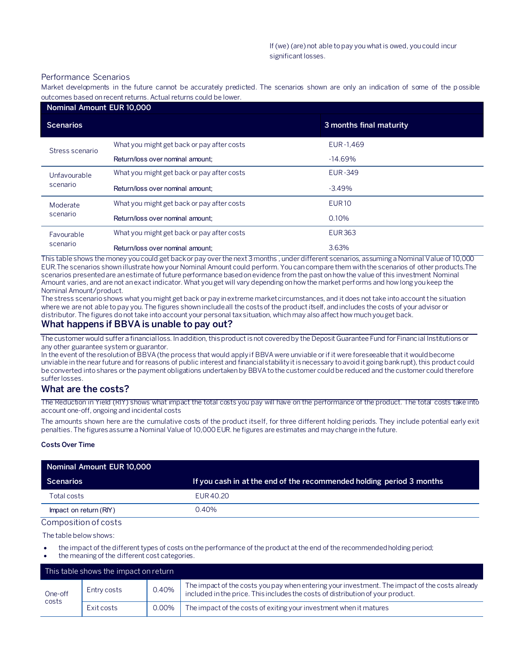#### Performance Scenarios

Market developments in the future cannot be accurately predicted. The scenarios shown are only an indication of some of the p ossible outcomes based on recent returns. Actual returns could be lower.

| Nominal Amount EUR 10,000 |                                            |                         |  |
|---------------------------|--------------------------------------------|-------------------------|--|
| <b>Scenarios</b>          |                                            | 3 months final maturity |  |
| Stress scenario           | What you might get back or pay after costs | EUR-1,469               |  |
|                           | Return/loss over nominal amount:           | $-14.69\%$              |  |
| Unfavourable<br>scenario  | What you might get back or pay after costs | <b>EUR-349</b>          |  |
|                           | Return/loss over nominal amount:           | $-3.49%$                |  |
| Moderate<br>scenario      | What you might get back or pay after costs | <b>EUR10</b>            |  |
|                           | Return/loss over nominal amount:           | 0.10%                   |  |
| Favourable<br>scenario    | What you might get back or pay after costs | <b>EUR 363</b>          |  |
|                           | Return/loss over nominal amount:           | 3.63%                   |  |

This table shows the money you could get back or pay over the next 3 months , under different scenarios, assuming a Nominal Value of 10,000 EUR.The scenarios shown illustrate how your Nominal Amount could perform. You can compare them with the scenarios of other products.The scenarios presented are an estimate of future performance based on evidence from the past on how the value of this investment Nominal Amount varies, and are not an exact indicator. What you get will vary depending on how the market performs and how long you keep the Nominal Amount/product.

The stress scenario shows what you might get back or pay in extreme market circumstances, and it does not take into account the situation where we are not able to pay you. The figures shown include all the costs of the product itself, and includes the costs of your advisor or distributor. The figures do not take into account your personal tax situation, which may also affect how much you get back.

## **What happens if BBVA is unable to pay out?**

The customer would suffer a financial loss. In addition, this product is not covered by the Deposit Guarantee Fund for Financial Institutions or any other guarantee system or guarantor.

In the event of the resolution of BBVA (the process that would apply if BBVA were unviable or if it were foreseeable that it would become unviable in the near future and for reasons of public interest and financial stability it is necessary to avoid it going bankrupt), this product could be converted into shares or the payment obligations undertaken by BBVA to the customer could be reduced and the customer could therefore suffer losses.

## **What are the costs?**

The Reduction in Yield (RIY) shows what impact the total costs you pay will have on the performance of the product. The total costs take into account one-off, ongoing and incidental costs

The amounts shown here are the cumulative costs of the product itself, for three different holding periods. They include potential early exit penalties. The figures assume a Nominal Value of 10,000 EUR. he figures are estimates and may change in the future.

#### **Costs Over Time**

| Nominal Amount EUR 10,000 |                                                                      |
|---------------------------|----------------------------------------------------------------------|
| <b>Scenarios</b>          | If you cash in at the end of the recommended holding period 3 months |
| Total costs               | EUR 40.20                                                            |
| Impact on return (RIY)    | 0.40%                                                                |

#### Composition of costs

The table below shows:

- the impact of the different types of costs on the performance of the product at the end of the recommended holding period;
- the meaning of the different cost categories.

|                  | This table shows the impact on return |       |                                                                                                                                                                                   |
|------------------|---------------------------------------|-------|-----------------------------------------------------------------------------------------------------------------------------------------------------------------------------------|
| One-off<br>costs | Entry costs                           | 0.40% | The impact of the costs you pay when entering your investment. The impact of the costs already<br>included in the price. This includes the costs of distribution of your product. |
|                  | Exit costs                            | 0.00% | The impact of the costs of exiting your investment when it matures                                                                                                                |